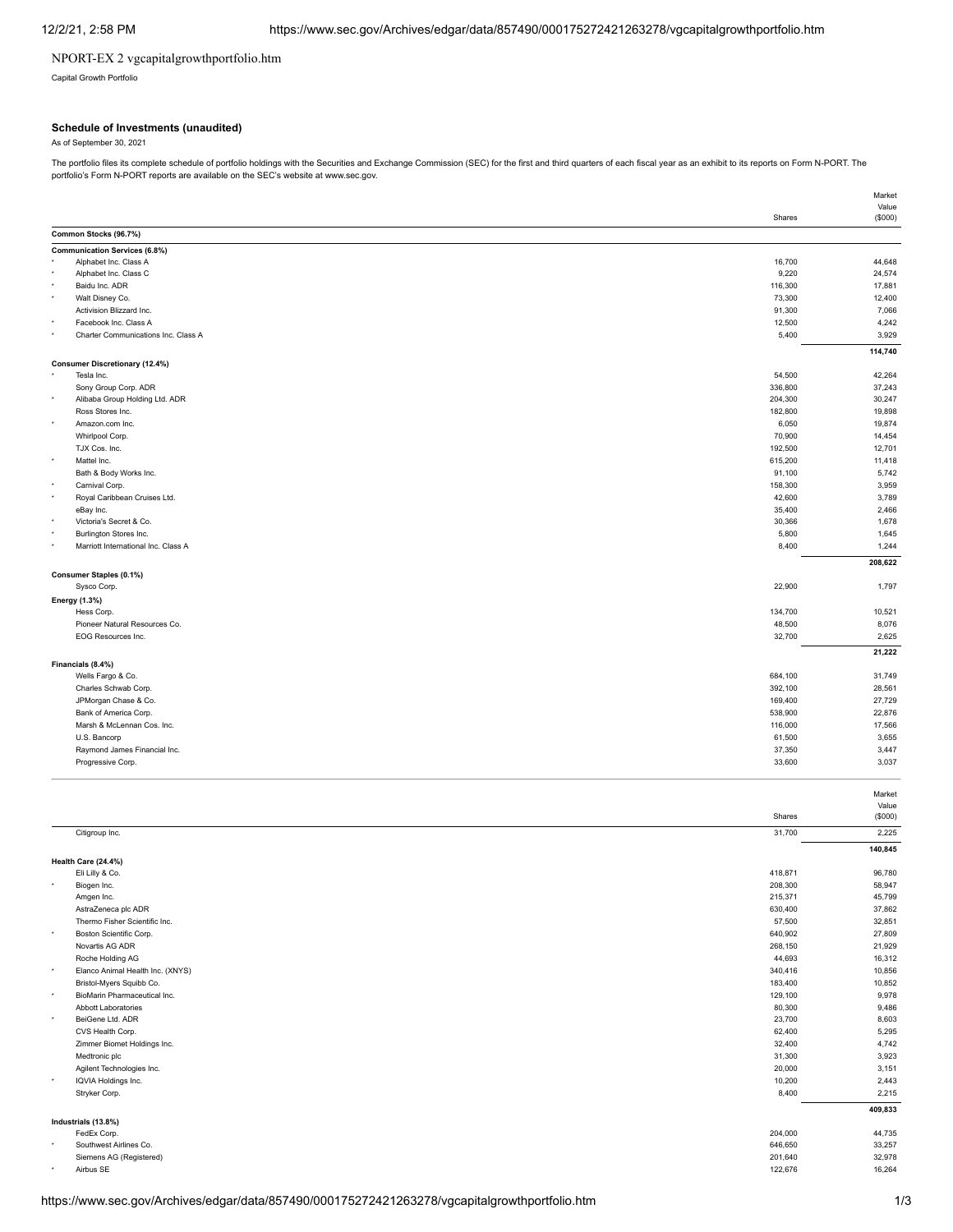# NPORT-EX 2 vgcapitalgrowthportfolio.htm

Capital Growth Portfolio

### **Schedule of Investments (unaudited)**

As of September 30, 2021

The portfolio files its complete schedule of portfolio holdings with the Securities and Exchange Commission (SEC) for the first and third quarters of each fiscal year as an exhibit to its reports on Form N-PORT. The portfolio's Form N-PORT reports are available on the SEC's website at www.sec.gov.

|                                                               | Shares  | Value   |
|---------------------------------------------------------------|---------|---------|
| Common Stocks (96.7%)                                         |         | (\$000) |
|                                                               |         |         |
| <b>Communication Services (6.8%)</b><br>Alphabet Inc. Class A | 16,700  | 44,648  |
| Alphabet Inc. Class C                                         | 9,220   | 24,574  |
| Baidu Inc. ADR                                                | 116,300 | 17,881  |
| Walt Disney Co.                                               | 73,300  | 12,400  |
| Activision Blizzard Inc.                                      | 91,300  | 7,066   |
| Facebook Inc. Class A                                         | 12,500  | 4,242   |
| Charter Communications Inc. Class A                           | 5,400   | 3,929   |
|                                                               |         | 114,740 |
| <b>Consumer Discretionary (12.4%)</b>                         |         |         |
| Tesla Inc.                                                    | 54,500  | 42,264  |
| Sony Group Corp. ADR                                          | 336,800 | 37,243  |
| Alibaba Group Holding Ltd. ADR                                | 204,300 | 30,247  |
| Ross Stores Inc.                                              | 182,800 | 19,898  |
| Amazon.com Inc.                                               | 6,050   | 19,874  |
| Whirlpool Corp.                                               | 70,900  | 14,454  |
| TJX Cos. Inc.                                                 | 192,500 | 12,701  |
| Mattel Inc.                                                   | 615,200 | 11,418  |
| Bath & Body Works Inc.                                        | 91,100  | 5,742   |
| Carnival Corp.                                                | 158,300 | 3,959   |
| Royal Caribbean Cruises Ltd.                                  | 42,600  | 3,789   |
| eBay Inc.                                                     | 35,400  | 2,466   |
| Victoria's Secret & Co.                                       | 30,366  | 1,678   |
| Burlington Stores Inc.                                        | 5,800   | 1,645   |
| Marriott International Inc. Class A                           | 8,400   | 1,244   |
|                                                               |         | 208,622 |
| Consumer Staples (0.1%)                                       |         |         |
| Sysco Corp.                                                   | 22,900  | 1,797   |
| Energy (1.3%)                                                 |         |         |
| Hess Corp.                                                    | 134,700 | 10,521  |
| Pioneer Natural Resources Co.                                 | 48,500  | 8,076   |
| EOG Resources Inc.                                            | 32,700  | 2,625   |
|                                                               |         |         |
|                                                               |         | 21,222  |
| Financials (8.4%)<br>Wells Fargo & Co.                        | 684,100 | 31,749  |
| Charles Schwab Corp.                                          | 392,100 | 28,561  |
| JPMorgan Chase & Co.                                          |         | 27,729  |
|                                                               | 169,400 |         |
| Bank of America Corp.                                         | 538,900 | 22,876  |
| Marsh & McLennan Cos. Inc.                                    | 116,000 | 17,566  |
| U.S. Bancorp                                                  | 61,500  | 3,655   |
| Raymond James Financial Inc.                                  | 37,350  | 3,447   |
| Progressive Corp.                                             | 33,600  | 3,037   |
|                                                               |         |         |
|                                                               |         | Market  |
|                                                               |         | Value   |
|                                                               | Shares  | (\$000) |
| Citigroup Inc.                                                | 31,700  | 2,225   |
|                                                               |         | 140,845 |
| Health Care (24.4%)                                           |         |         |
| Eli Lilly & Co.                                               | 418,871 | 96,780  |
| Biogen Inc.                                                   | 208,300 | 58,947  |
| Amgen Inc.                                                    | 215,371 | 45,799  |
| AstraZeneca plc ADR                                           | 630,400 | 37,862  |
| Thermo Fisher Scientific Inc.                                 | 57,500  | 32,851  |
| Boston Scientific Corp.                                       | 640,902 | 27,809  |
| Novartis AG ADR                                               | 268,150 | 21,929  |
| Roche Holding AG                                              | 44,693  | 16,312  |
| Elanco Animal Health Inc. (XNYS)                              | 340,416 | 10,856  |
| Bristol-Myers Squibb Co.                                      | 183,400 | 10,852  |
| BioMarin Pharmaceutical Inc.                                  | 129,100 | 9,978   |
| Abbott Laboratories                                           | 80,300  | 9,486   |
| BeiGene Ltd. ADR                                              | 23,700  | 8,603   |
| CVS Health Corp.                                              | 62,400  | 5,295   |
| Zimmer Biomet Holdings Inc.                                   | 32,400  | 4,742   |
| Medtronic plc                                                 | 31,300  | 3,923   |
| Agilent Technologies Inc.                                     | 20,000  | 3,151   |
| IQVIA Holdings Inc.                                           | 10,200  | 2,443   |
| Stryker Corp.                                                 | 8,400   | 2,215   |
|                                                               |         | 409,833 |
| Industrials (13.8%)                                           |         |         |
| FedEx Corp.                                                   | 204,000 | 44,735  |
| Southwest Airlines Co.                                        | 646,650 | 33,257  |
| Siemens AG (Registered)                                       | 201,640 | 32,978  |
| Airbus SE                                                     | 122,676 | 16,264  |

Market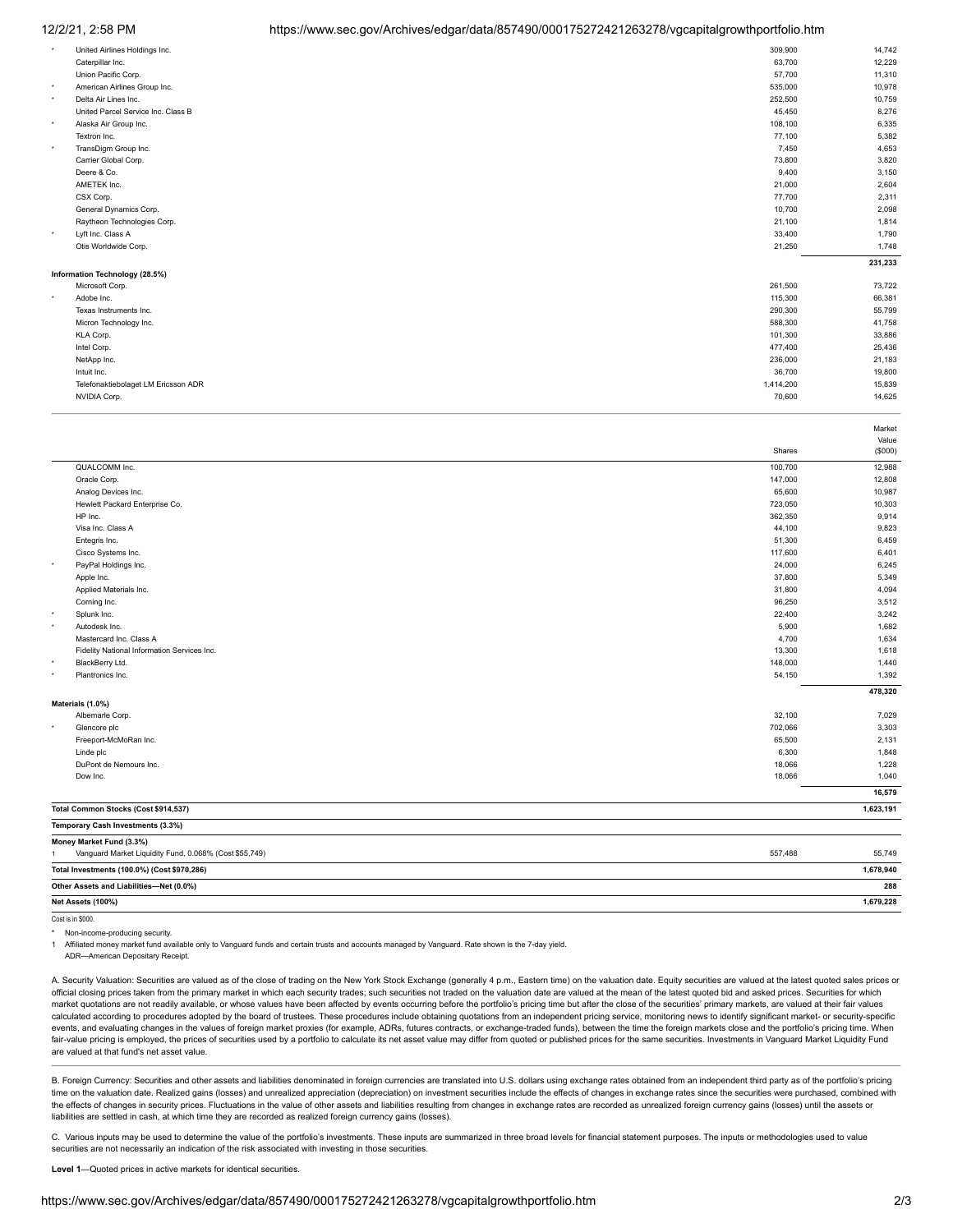### 12/2/21, 2:58 PM https://www.sec.gov/Archives/edgar/data/857490/000175272421263278/vgcapitalgrowthportfolio.htm

| $\star$ | United Airlines Holdings Inc.       | 309,900   | 14,742  |
|---------|-------------------------------------|-----------|---------|
|         | Caterpillar Inc.                    | 63,700    | 12,229  |
|         | Union Pacific Corp.                 | 57,700    | 11,310  |
| $\star$ | American Airlines Group Inc.        | 535,000   | 10,978  |
| $\star$ | Delta Air Lines Inc.                | 252,500   | 10,759  |
|         | United Parcel Service Inc. Class B  | 45,450    | 8,276   |
| $\star$ | Alaska Air Group Inc.               | 108,100   | 6,335   |
|         | Textron Inc.                        | 77,100    | 5,382   |
| $\star$ | TransDigm Group Inc.                | 7,450     | 4,653   |
|         | Carrier Global Corp.                | 73,800    | 3,820   |
|         | Deere & Co.                         | 9,400     | 3,150   |
|         | AMETEK Inc.                         | 21,000    | 2,604   |
|         | CSX Corp.                           | 77,700    | 2,311   |
|         | General Dynamics Corp.              | 10,700    | 2,098   |
|         | Raytheon Technologies Corp.         | 21,100    | 1,814   |
| $\star$ | Lyft Inc. Class A                   | 33,400    | 1,790   |
|         | Otis Worldwide Corp.                | 21,250    | 1,748   |
|         |                                     |           | 231,233 |
|         | Information Technology (28.5%)      |           |         |
|         | Microsoft Corp.                     | 261,500   | 73,722  |
| $\star$ | Adobe Inc.                          | 115,300   | 66,381  |
|         | Texas Instruments Inc.              | 290,300   | 55,799  |
|         | Micron Technology Inc.              | 588,300   | 41,758  |
|         | KLA Corp.                           | 101,300   | 33,886  |
|         | Intel Corp.                         | 477,400   | 25,436  |
|         | NetApp Inc.                         | 236,000   | 21,183  |
|         | Intuit Inc.                         | 36,700    | 19,800  |
|         | Telefonaktiebolaget LM Ericsson ADR | 1,414,200 | 15,839  |
|         | NVIDIA Corp.                        | 70,600    | 14,625  |
|         |                                     |           |         |

|                  |                                             |         | Value     |
|------------------|---------------------------------------------|---------|-----------|
|                  |                                             | Shares  | (\$000)   |
|                  | QUALCOMM Inc.                               | 100,700 | 12,988    |
|                  | Oracle Corp.                                | 147,000 | 12,808    |
|                  | Analog Devices Inc.                         | 65,600  | 10,987    |
|                  | Hewlett Packard Enterprise Co.              | 723,050 | 10,303    |
|                  | HP Inc.                                     | 362,350 | 9,914     |
|                  | Visa Inc. Class A                           | 44,100  | 9,823     |
|                  | Entegris Inc.                               | 51,300  | 6,459     |
|                  | Cisco Systems Inc.                          | 117,600 | 6,401     |
|                  | PayPal Holdings Inc.                        | 24,000  | 6,245     |
|                  | Apple Inc.                                  | 37,800  | 5,349     |
|                  | Applied Materials Inc.                      | 31,800  | 4,094     |
|                  | Corning Inc.                                | 96,250  | 3,512     |
| ٠                | Splunk Inc.                                 | 22,400  | 3,242     |
| ٠                | Autodesk Inc.                               | 5,900   | 1,682     |
|                  | Mastercard Inc. Class A                     | 4,700   | 1,634     |
|                  | Fidelity National Information Services Inc. | 13,300  | 1,618     |
| ٠                | BlackBerry Ltd.                             | 148,000 | 1,440     |
|                  | Plantronics Inc.                            | 54,150  | 1,392     |
|                  |                                             |         | 478,320   |
| Materials (1.0%) |                                             |         |           |
|                  | Albemarle Corp.                             | 32,100  | 7,029     |
| ٠                | Glencore plc                                | 702,066 | 3,303     |
|                  | Freeport-McMoRan Inc.                       | 65,500  | 2,131     |
|                  | Linde plc                                   | 6,300   | 1,848     |
|                  | DuPont de Nemours Inc.                      | 18,066  | 1,228     |
|                  | Dow Inc.                                    | 18,066  | 1,040     |
|                  |                                             |         | 16,579    |
|                  | Total Common Stocks (Cost \$914,537)        |         | 1,623,191 |
|                  | Temporary Cash Investments (3.3%)           |         |           |
|                  | Money Market Fund (3.3%)                    |         |           |

| Vanguard Market Liquidity Fund, 0.068% (Cost \$55,749) | 557.488 | 55,749    |
|--------------------------------------------------------|---------|-----------|
| Total Investments (100.0%) (Cost \$970,286)            |         | 1,678,940 |
| Other Assets and Liabilities-Net (0.0%)                |         | 288       |
| Net Assets (100%)                                      |         | 1,679,228 |

Cost is in \$000.

Non-income-producing security.

1 Affiliated money market fund available only to Vanguard funds and certain trusts and accounts managed by Vanguard. Rate shown is the 7-day yield.

ADR—American Depositary Receipt.

A. Security Valuation: Securities are valued as of the close of trading on the New York Stock Exchange (generally 4 p.m., Eastern time) on the valuation date. Equity securities are valued at the latest quoted sales prices official closing prices taken from the primary market in which each security trades; such securities not traded on the valuation date are valued at the mean of the latest quoted bid and asked prices. Securities for which market quotations are not readily available, or whose values have been affected by events occurring before the portfolio's pricing time but after the close of the securities' primary markets, are valued at their fair value calculated according to procedures adopted by the board of trustees. These procedures include obtaining quotations from an independent pricing service, monitoring news to identify significant market- or security-specific events, and evaluating changes in the values of foreign market proxies (for example, ADRs, futures contracts, or exchange-traded funds), between the time the foreign markets close and the portfolio's pricing time. When fair-value pricing is employed, the prices of securities used by a portfolio to calculate its net asset value may differ from quoted or published prices for the same securities. Investments in Vanguard Market Liquidity Fund are valued at that fund's net asset value.

B. Foreign Currency: Securities and other assets and liabilities denominated in foreign currencies are translated into U.S. dollars using exchange rates obtained from an independent third party as of the portfolio's pricing time on the valuation date. Realized gains (losses) and unrealized appreciation (depreciation) on investment securities include the effects of changes in exchange rates since the securities were purchased, combined with the effects of changes in security prices. Fluctuations in the value of other assets and liabilities resulting from changes in exchange rates are recorded as unrealized foreign currency gains (losses) until the assets or liabilities are settled in cash, at which time they are recorded as realized foreign currency gains (losses).

C. Various inputs may be used to determine the value of the portfolio's investments. These inputs are summarized in three broad levels for financial statement purposes. The inputs or methodologies used to value securities are not necessarily an indication of the risk associated with investing in those securities.

**Level 1**—Quoted prices in active markets for identical securities.

Market